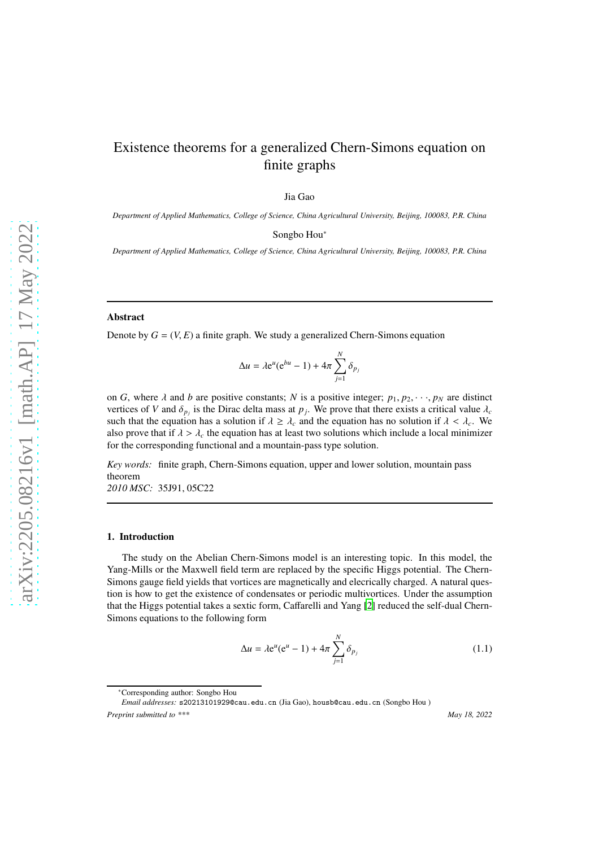# Existence theorems for a generalized Chern-Simons equation on finite graphs

Jia Gao

*Department of Applied Mathematics, College of Science, China Agricultural University, Beijing, 100083, P.R. China*

Songbo Hou<sup>∗</sup>

*Department of Applied Mathematics, College of Science, China Agricultural University, Beijing, 100083, P.R. China*

# Abstract

Denote by  $G = (V, E)$  a finite graph. We study a generalized Chern-Simons equation

$$
\Delta u = \lambda e^u (e^{bu} - 1) + 4\pi \sum_{j=1}^N \delta_{p_j}
$$

on *G*, where  $\lambda$  and *b* are positive constants; *N* is a positive integer;  $p_1, p_2, \dots, p_N$  are distinct vertices of *V* and  $\delta_{p_j}$  is the Dirac delta mass at  $p_j$ . We prove that there exists a critical value  $\lambda_c$ such that the equation has a solution if  $\lambda \geq \lambda_c$  and the equation has no solution if  $\lambda < \lambda_c$ . We also prove that if  $\lambda > \lambda_c$  the equation has at least two solutions which include a local minimizer for the corresponding functional and a mountain-pass type solution.

*Key words:* finite graph, Chern-Simons equation, upper and lower solution, mountain pass theorem *2010 MSC:* 35J91, 05C22

## 1. Introduction

The study on the Abelian Chern-Simons model is an interesting topic. In this model, the Yang-Mills or the Maxwell field term are replaced by the specific Higgs potential. The Chern-Simons gauge field yields that vortices are magnetically and elecrically charged. A natural question is how to get the existence of condensates or periodic multivortices. Under the assumption that the Higgs potential takes a sextic form, Caffarelli and Yang [\[2\]](#page-13-0) reduced the self-dual Chern-Simons equations to the following form

<span id="page-0-0"></span>
$$
\Delta u = \lambda e^u (e^u - 1) + 4\pi \sum_{j=1}^N \delta_{p_j}
$$
 (1.1)

<sup>∗</sup>Corresponding author: Songbo Hou

*Email addresses:* s20213101929@cau.edu.cn (Jia Gao), housb@cau.edu.cn (Songbo Hou ) *Preprint submitted to \*\*\* May 18, 2022*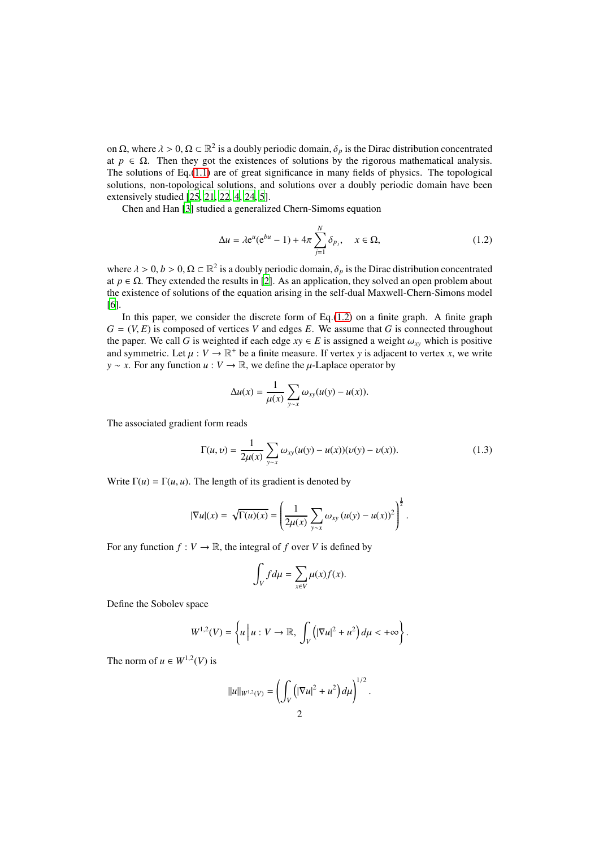on  $\Omega$ , where  $\lambda > 0$ ,  $\Omega \subset \mathbb{R}^2$  is a doubly periodic domain,  $\delta_p$  is the Dirac distribution concentrated at  $p \in \Omega$ . Then they got the existences of solutions by the rigorous mathematical analysis. The solutions of Eq. $(1.1)$  are of great significance in many fields of physics. The topological solutions, non-topological solutions, and solutions over a doubly periodic domain have been extensively studied [\[25](#page-14-0), [21](#page-14-1), [22](#page-14-2), [4](#page-13-1), [24](#page-14-3), [5](#page-13-2)].

Chen and Han [\[3](#page-13-3)] studied a generalized Chern-Simoms equation

<span id="page-1-0"></span>
$$
\Delta u = \lambda e^u (e^{bu} - 1) + 4\pi \sum_{j=1}^N \delta_{p_j}, \quad x \in \Omega,
$$
\n(1.2)

where  $\lambda > 0$ ,  $b > 0$ ,  $\Omega \subset \mathbb{R}^2$  is a doubly periodic domain,  $\delta_p$  is the Dirac distribution concentrated at  $p \in \Omega$ . They extended the results in [\[2](#page-13-0)]. As an application, they solved an open problem about the existence of solutions of the equation arising in the self-dual Maxwell-Chern-Simons model [\[6\]](#page-13-4).

In this paper, we consider the discrete form of Eq. $(1.2)$  on a finite graph. A finite graph  $G = (V, E)$  is composed of vertices *V* and edges *E*. We assume that *G* is connected throughout the paper. We call *G* is weighted if each edge  $xy \in E$  is assigned a weight  $\omega_{xy}$  which is positive and symmetric. Let  $\mu : V \to \mathbb{R}^+$  be a finite measure. If vertex *y* is adjacent to vertex *x*, we write *y* ∼ *x*. For any function *u* : *V* → ℝ, we define the *μ*-Laplace operator by

$$
\Delta u(x) = \frac{1}{\mu(x)} \sum_{y \sim x} \omega_{xy}(u(y) - u(x)).
$$

The associated gradient form reads

$$
\Gamma(u,v) = \frac{1}{2\mu(x)} \sum_{y \sim x} \omega_{xy}(u(y) - u(x))(v(y) - v(x)).
$$
\n(1.3)

Write  $\Gamma(u) = \Gamma(u, u)$ . The length of its gradient is denoted by

$$
|\nabla u|(x) = \sqrt{\Gamma(u)(x)} = \left(\frac{1}{2\mu(x)}\sum_{y \sim x} \omega_{xy} (u(y) - u(x))^2\right)^{\frac{1}{2}}.
$$

For any function  $f: V \to \mathbb{R}$ , the integral of *f* over *V* is defined by

$$
\int_V f d\mu = \sum_{x \in V} \mu(x) f(x).
$$

Define the Sobolev space

$$
W^{1,2}(V) = \left\{ u \Big| \ u: V \to \mathbb{R}, \ \int_V \left( |\nabla u|^2 + u^2 \right) d\mu < +\infty \right\}.
$$

The norm of  $u \in W^{1,2}(V)$  is

$$
||u||_{W^{1,2}(V)} = \left(\int_V \left(|\nabla u|^2 + u^2\right) d\mu\right)^{1/2}.
$$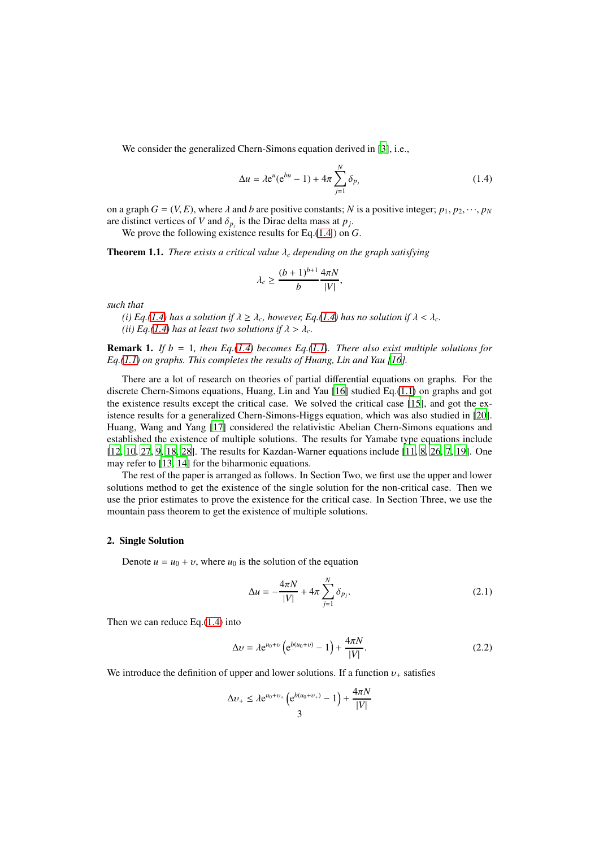We consider the generalized Chern-Simons equation derived in [\[3\]](#page-13-3), i.e.,

<span id="page-2-0"></span>
$$
\Delta u = \lambda e^u (e^{bu} - 1) + 4\pi \sum_{j=1}^N \delta_{p_j}
$$
 (1.4)

on a graph  $G = (V, E)$ , where  $\lambda$  and  $b$  are positive constants;  $N$  is a positive integer;  $p_1, p_2, \dots, p_N$ are distinct vertices of *V* and  $\delta_{p_j}$  is the Dirac delta mass at  $p_j$ .

We prove the following existence results for Eq.[\(1.4](#page-2-0) ) on *G*.

Theorem 1.1. *There exists a critical value* λ*<sup>c</sup> depending on the graph satisfying*

$$
\lambda_c \ge \frac{(b+1)^{b+1}}{b} \frac{4\pi N}{|V|},
$$

*such that*

*(i)* Eq.[\(1.4\)](#page-2-0) has a solution if  $\lambda \geq \lambda_c$ , however, Eq.(1.4) has no solution if  $\lambda < \lambda_c$ . *(ii)* Eq.[\(1.4\)](#page-2-0) has at least two solutions if  $\lambda > \lambda_c$ .

**Remark 1.** *If b* = 1*, then Eq.*[\(1.4\)](#page-2-0) *becomes Eq.*[\(1.1\)](#page-0-0)*. There also exist multiple solutions for Eq.[\(1.1\)](#page-0-0) on graphs. This completes the results of Huang, Lin and Yau [\[16\]](#page-14-4).*

There are a lot of research on theories of partial differential equations on graphs. For the discrete Chern-Simons equations, Huang, Lin and Yau [\[16\]](#page-14-4) studied Eq.[\(1.1\)](#page-0-0) on graphs and got the existence results except the critical case. We solved the critical case [\[15\]](#page-14-5), and got the existence results for a generalized Chern-Simons-Higgs equation, which was also studied in [\[20](#page-14-6)]. Huang, Wang and Yang [\[17\]](#page-14-7) considered the relativistic Abelian Chern-Simons equations and established the existence of multiple solutions. The results for Yamabe type equations include [\[12,](#page-14-8) [10,](#page-14-9) [27,](#page-14-10) [9,](#page-13-5) [18](#page-14-11), [28](#page-14-12)]. The results for Kazdan-Warner equations include [\[11,](#page-14-13) [8,](#page-13-6) [26,](#page-14-14) [7,](#page-13-7) [19\]](#page-14-15). One may refer to [\[13,](#page-14-16) [14\]](#page-14-17) for the biharmonic equations.

The rest of the paper is arranged as follows. In Section Two, we first use the upper and lower solutions method to get the existence of the single solution for the non-critical case. Then we use the prior estimates to prove the existence for the critical case. In Section Three, we use the mountain pass theorem to get the existence of multiple solutions.

## 2. Single Solution

Denote  $u = u_0 + v$ , where  $u_0$  is the solution of the equation

<span id="page-2-2"></span>
$$
\Delta u = -\frac{4\pi N}{|V|} + 4\pi \sum_{j=1}^{N} \delta_{p_j}.
$$
 (2.1)

Then we can reduce Eq.[\(1.4\)](#page-2-0) into

<span id="page-2-1"></span>
$$
\Delta v = \lambda e^{u_0 + v} \left( e^{b(u_0 + v)} - 1 \right) + \frac{4\pi N}{|V|}.
$$
 (2.2)

We introduce the definition of upper and lower solutions. If a function  $v_+$  satisfies

$$
\Delta v_{+} \leq \lambda e^{u_0 + v_{+}} \left( e^{b(u_0 + v_{+})} - 1 \right) + \frac{4\pi N}{|V|}
$$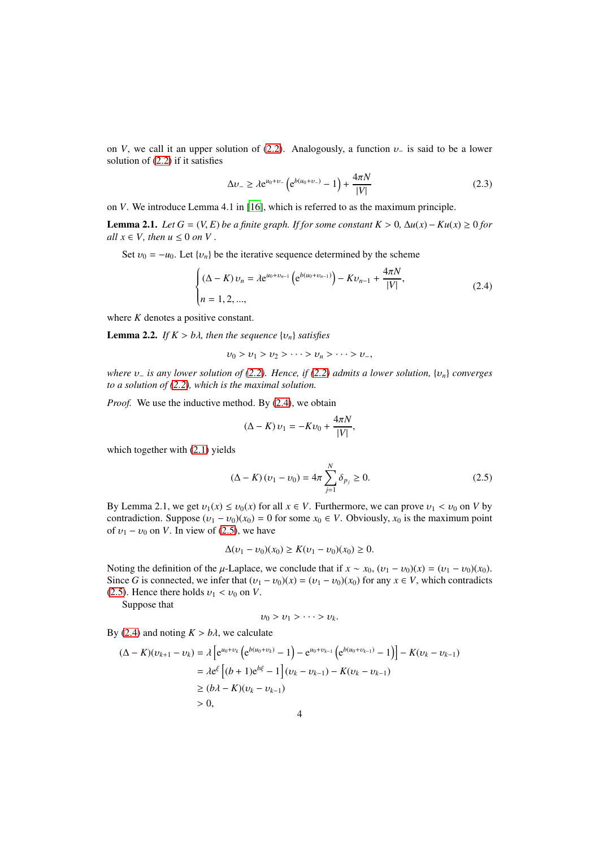on *V*, we call it an upper solution of [\(2.2\)](#page-2-1). Analogously, a function  $v_$  is said to be a lower solution of [\(2.2\)](#page-2-1) if it satisfies

<span id="page-3-2"></span>
$$
\Delta v_{-} \ge \lambda e^{u_0 + v_{-}} \left( e^{b(u_0 + v_{-})} - 1 \right) + \frac{4\pi N}{|V|} \tag{2.3}
$$

on *V*. We introduce Lemma 4.1 in [\[16](#page-14-4)], which is referred to as the maximum principle.

Lemma 2.1. *Let G* = (*V*, *E*) *be a finite graph. If for some constant K* > 0*,* ∆*u*(*x*) − *Ku*(*x*) ≥ 0 *for all*  $x \in V$ *, then*  $u \leq 0$  *on*  $V$ *.* 

Set  $v_0 = -u_0$ . Let  $\{v_n\}$  be the iterative sequence determined by the scheme

<span id="page-3-0"></span>
$$
\begin{cases} (\Delta - K) v_n = \lambda e^{u_0 + v_{n-1}} \left( e^{b(u_0 + v_{n-1})} \right) - K v_{n-1} + \frac{4\pi N}{|V|}, \\ n = 1, 2, ..., \end{cases}
$$
 (2.4)

where *K* denotes a positive constant.

**Lemma 2.2.** *If*  $K > b\lambda$ *, then the sequence*  $\{v_n\}$  *satisfies* 

$$
v_0 > v_1 > v_2 > \cdots > v_n > \cdots > v_-,
$$

*where* υ<sup>−</sup> *is any lower solution of [\(2.2\)](#page-2-1). Hence, if [\(2.2\)](#page-2-1) admits a lower solution,* {υ*n*} *converges to a solution of [\(2.2\)](#page-2-1), which is the maximal solution.*

*Proof.* We use the inductive method. By [\(2.4\)](#page-3-0), we obtain

$$
(\Delta - K) v_1 = -Kv_0 + \frac{4\pi N}{|V|},
$$

which together with  $(2.1)$  yields

<span id="page-3-1"></span>
$$
(\Delta - K)(\nu_1 - \nu_0) = 4\pi \sum_{j=1}^{N} \delta_{p_j} \ge 0.
$$
 (2.5)

By Lemma 2.1, we get  $v_1(x) \le v_0(x)$  for all  $x \in V$ . Furthermore, we can prove  $v_1 < v_0$  on *V* by contradiction. Suppose  $(v_1 - v_0)(x_0) = 0$  for some  $x_0 \in V$ . Obviously,  $x_0$  is the maximum point of  $v_1 - v_0$  on *V*. In view of [\(2.5\)](#page-3-1), we have

$$
\Delta(\nu_1 - \nu_0)(x_0) \ge K(\nu_1 - \nu_0)(x_0) \ge 0.
$$

Noting the definition of the  $\mu$ -Laplace, we conclude that if  $x \sim x_0$ ,  $(v_1 - v_0)(x) = (v_1 - v_0)(x_0)$ . Since *G* is connected, we infer that  $(v_1 - v_0)(x) = (v_1 - v_0)(x_0)$  for any  $x \in V$ , which contradicts [\(2.5\)](#page-3-1). Hence there holds  $v_1 < v_0$  on *V*.

Suppose that

$$
v_0 > v_1 > \cdots > v_k.
$$

By [\(2.4\)](#page-3-0) and noting  $K > b\lambda$ , we calculate

$$
(\Delta - K)(v_{k+1} - v_k) = \lambda \left[ e^{u_0 + v_k} \left( e^{b(u_0 + v_k)} - 1 \right) - e^{u_0 + v_{k-1}} \left( e^{b(u_0 + v_{k-1})} - 1 \right) \right] - K(v_k - v_{k-1})
$$
  
=  $\lambda e^{\xi} \left[ (b+1)e^{b\xi} - 1 \right] (v_k - v_{k-1}) - K(v_k - v_{k-1})$   
 $\ge (b\lambda - K)(v_k - v_{k-1})$   
 $> 0,$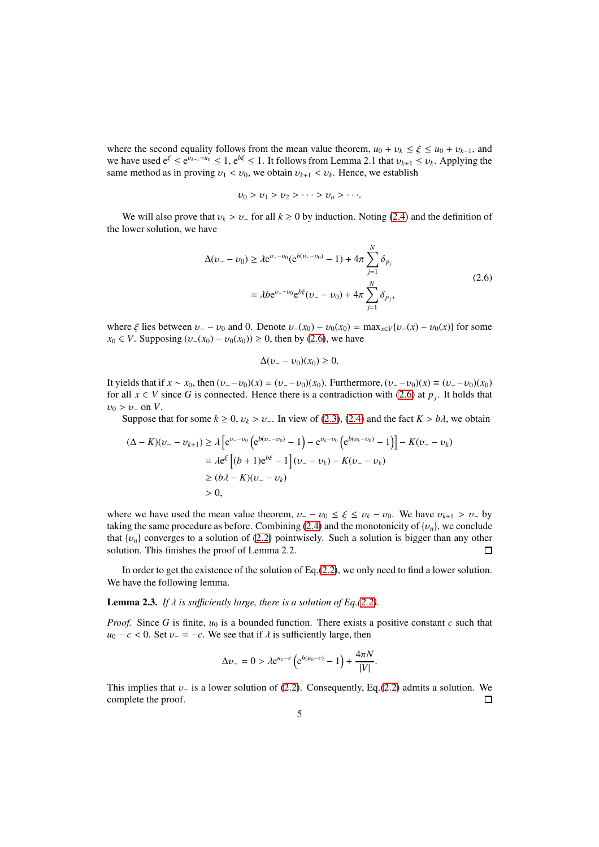where the second equality follows from the mean value theorem,  $u_0 + v_k \le \xi \le u_0 + v_{k-1}$ , and we have used  $e^{\xi} \le e^{v_{k-1}+u_0} \le 1$ ,  $e^{b\xi} \le 1$ . It follows from Lemma 2.1 that  $v_{k+1} \le v_k$ . Applying the same method as in proving  $v_1 < v_0$ , we obtain  $v_{k+1} < v_k$ . Hence, we establish

$$
v_0 > v_1 > v_2 > \cdots > v_n > \cdots
$$

We will also prove that  $v_k > v_+$  for all  $k \ge 0$  by induction. Noting [\(2.4\)](#page-3-0) and the definition of the lower solution, we have

<span id="page-4-0"></span>
$$
\Delta(\nu_{-} - \nu_{0}) \ge \lambda e^{\nu_{-} - \nu_{0}} (e^{b(\nu_{-} - \nu_{0})} - 1) + 4\pi \sum_{j=1}^{N} \delta_{p_{j}}
$$
  
=  $\lambda b e^{\nu_{-} - \nu_{0}} e^{b\xi} (\nu_{-} - \nu_{0}) + 4\pi \sum_{j=1}^{N} \delta_{p_{j}},$  (2.6)

where  $\xi$  lies between  $v_ - v_0$  and 0. Denote  $v_-(x_0) - v_0(x_0) = \max_{x \in V} \{v_-(x) - v_0(x)\}$  for some *x*<sub>0</sub> ∈ *V*. Supposing  $(v_-(x_0) - v_0(x_0)) \ge 0$ , then by [\(2.6\)](#page-4-0), we have

$$
\Delta(\upsilon_{-}-\upsilon_{0})(x_{0})\geq 0.
$$

It yields that if *x* ∼ *x*<sub>0</sub>, then  $(v_2 - v_0)(x) = (v_2 - v_0)(x_0)$ . Furthermore,  $(v_2 - v_0)(x) \equiv (v_2 - v_0)(x_0)$ for all  $x \in V$  since G is connected. Hence there is a contradiction with [\(2.6\)](#page-4-0) at  $p_j$ . It holds that  $v_0 > v_-\,$  on *V*.

Suppose that for some  $k \geq 0$ ,  $v_k > v_-\$ . In view of [\(2.3\)](#page-3-2), [\(2.4\)](#page-3-0) and the fact  $K > b\lambda$ , we obtain

$$
(\Delta - K)(\nu_{-} - \nu_{k+1}) \ge \lambda \left[ e^{\nu_{-} - \nu_{0}} \left( e^{b(\nu_{-} - \nu_{0})} - 1 \right) - e^{\nu_{k} - \nu_{0}} \left( e^{b(\nu_{k} - \nu_{0})} - 1 \right) \right] - K(\nu_{-} - \nu_{k})
$$
  
=  $\lambda e^{\xi} \left[ (b + 1)e^{b\xi} - 1 \right] (\nu_{-} - \nu_{k}) - K(\nu_{-} - \nu_{k})$   
 $\ge (b\lambda - K)(\nu_{-} - \nu_{k})$   
 $> 0,$ 

where we have used the mean value theorem,  $v_+ - v_0 \le \xi \le v_k - v_0$ . We have  $v_{k+1} > v_-$  by taking the same procedure as before. Combining [\(2.4\)](#page-3-0) and the monotonicity of  $\{v_n\}$ , we conclude that  $\{v_n\}$  converges to a solution of [\(2.2\)](#page-2-1) pointwisely. Such a solution is bigger than any other solution. This finishes the proof of Lemma 2.2.  $\Box$ 

In order to get the existence of the solution of Eq.[\(2.2\)](#page-2-1), we only need to find a lower solution. We have the following lemma.

**Lemma 2.3.** *If*  $\lambda$  *is sufficiently large, there is a solution of Eq.*[\(2.2\)](#page-2-1)*.* 

*Proof.* Since *G* is finite,  $u_0$  is a bounded function. There exists a positive constant *c* such that  $u_0 - c < 0$ . Set  $v_- = -c$ . We see that if  $\lambda$  is sufficiently large, then

$$
\Delta v_- = 0 > \lambda e^{u_0 - c} \left( e^{b(u_0 - c)} - 1 \right) + \frac{4\pi N}{|V|}.
$$

This implies that  $v_-\$  is a lower solution of [\(2.2\)](#page-2-1). Consequently, Eq.[\(2.2\)](#page-2-1) admits a solution. We complete the proof.  $\Box$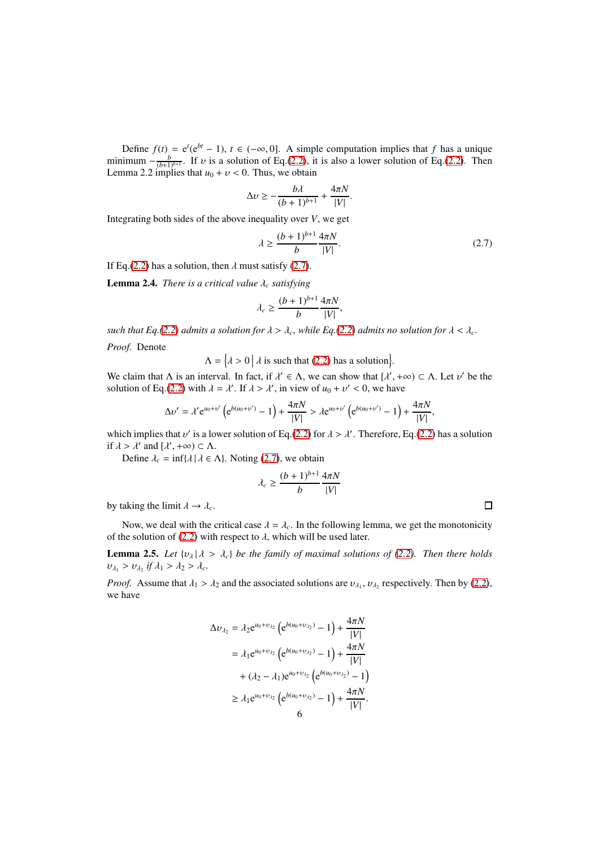Define  $f(t) = e^{t}(e^{bt} - 1)$ ,  $t \in (-\infty, 0]$ . A simple computation implies that *f* has a unique minimum  $-\frac{b}{(b+1)^{b+1}}$ . If v is a solution of Eq.[\(2.2\)](#page-2-1), it is also a lower solution of Eq.(2.2). Then Lemma 2.2 implies that  $u_0 + v < 0$ . Thus, we obtain

$$
\Delta v \ge -\frac{b\lambda}{(b+1)^{b+1}} + \frac{4\pi N}{|V|}.
$$

Integrating both sides of the above inequality over *V*, we get

<span id="page-5-0"></span>
$$
\lambda \ge \frac{(b+1)^{b+1}}{b} \frac{4\pi N}{|V|}.
$$
\n(2.7)

If Eq.[\(2.2\)](#page-2-1) has a solution, then  $\lambda$  must satisfy [\(2.7\)](#page-5-0).

**Lemma 2.4.** *There is a critical value*  $\lambda_c$  *satisfying* 

$$
\lambda_c \geq \frac{(b+1)^{b+1}}{b} \frac{4\pi N}{|V|},
$$

*such that Eq.*[\(2.2\)](#page-2-1) *admits a solution for*  $\lambda > \lambda_c$ *, while Eq.*(2.2) *admits no solution for*  $\lambda < \lambda_c$ *.* 

*Proof.* Denote

 $\Lambda = \left\{ \lambda > 0 \, \middle| \, \lambda \text{ is such that (2.2) has a solution} \right\}.$  $\Lambda = \left\{ \lambda > 0 \, \middle| \, \lambda \text{ is such that (2.2) has a solution} \right\}.$  $\Lambda = \left\{ \lambda > 0 \, \middle| \, \lambda \text{ is such that (2.2) has a solution} \right\}.$ 

We claim that  $\Lambda$  is an interval. In fact, if  $\lambda' \in \Lambda$ , we can show that  $[\lambda', +\infty) \subset \Lambda$ . Let  $\nu'$  be the solution of Eq.[\(2.2\)](#page-2-1) with  $\lambda = \lambda'$ . If  $\lambda > \lambda'$ , in view of  $u_0 + v' < 0$ , we have

$$
\Delta \nu' = \lambda' e^{u_0 + \nu'} \left( e^{b(u_0 + \nu')} - 1 \right) + \frac{4\pi N}{|V|} > \lambda e^{u_0 + \nu'} \left( e^{b(u_0 + \nu')} - 1 \right) + \frac{4\pi N}{|V|},
$$

which implies that  $v'$  is a lower solution of Eq.[\(2.2\)](#page-2-1) for  $\lambda > \lambda'$ . Therefore, Eq.(2.2) has a solution if  $\lambda > \lambda'$  and  $[\lambda', +\infty) \subset \Lambda$ .

Define  $\lambda_c = \inf\{\lambda \mid \lambda \in \Lambda\}$ . Noting [\(2.7\)](#page-5-0), we obtain

$$
\lambda_c \geq \frac{(b+1)^{b+1}}{b} \frac{4\pi N}{|V|}
$$

by taking the limit  $\lambda \to \lambda_c$ .

Now, we deal with the critical case  $\lambda = \lambda_c$ . In the following lemma, we get the monotonicity of the solution of [\(2.2\)](#page-2-1) with respect to  $\lambda$ , which will be used later.

**Lemma 2.5.** Let  $\{v_\lambda | \lambda > \lambda_c\}$  be the family of maximal solutions of [\(2.2\)](#page-2-1). Then there holds  $v_{\lambda_1} > v_{\lambda_2}$  if  $\lambda_1 > \lambda_2 > \lambda_c$ .

*Proof.* Assume that  $\lambda_1 > \lambda_2$  and the associated solutions are  $v_{\lambda_1}, v_{\lambda_2}$  respectively. Then by [\(2.2\)](#page-2-1), we have

$$
\Delta v_{\lambda_2} = \lambda_2 e^{u_0 + v_{\lambda_2}} \left( e^{b(u_0 + v_{\lambda_2})} - 1 \right) + \frac{4\pi N}{|V|}
$$
  
=  $\lambda_1 e^{u_0 + v_{\lambda_2}} \left( e^{b(u_0 + v_{\lambda_2})} - 1 \right) + \frac{4\pi N}{|V|}$   
+  $(\lambda_2 - \lambda_1) e^{u_0 + v_{\lambda_2}} \left( e^{b(u_0 + v_{\lambda_2})} - 1 \right)$   
 $\ge \lambda_1 e^{u_0 + v_{\lambda_2}} \left( e^{b(u_0 + v_{\lambda_2})} - 1 \right) + \frac{4\pi N}{|V|}.$ 

 $\Box$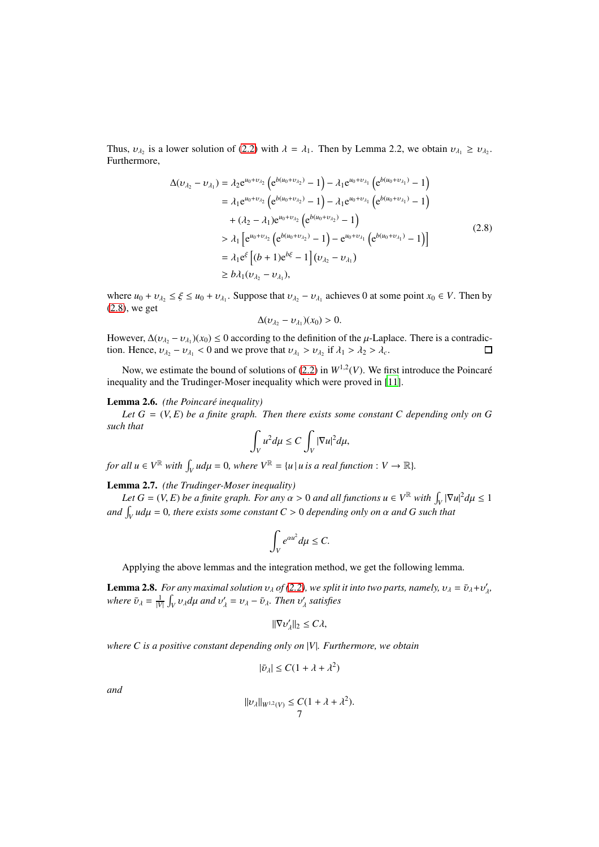Thus,  $v_{\lambda_2}$  is a lower solution of [\(2.2\)](#page-2-1) with  $\lambda = \lambda_1$ . Then by Lemma 2.2, we obtain  $v_{\lambda_1} \ge v_{\lambda_2}$ . Furthermore,

$$
\Delta(\nu_{\lambda_2} - \nu_{\lambda_1}) = \lambda_2 e^{u_0 + \nu_{\lambda_2}} \left( e^{b(u_0 + \nu_{\lambda_2})} - 1 \right) - \lambda_1 e^{u_0 + \nu_{\lambda_1}} \left( e^{b(u_0 + \nu_{\lambda_1})} - 1 \right)
$$
  
\n
$$
= \lambda_1 e^{u_0 + \nu_{\lambda_2}} \left( e^{b(u_0 + \nu_{\lambda_2})} - 1 \right) - \lambda_1 e^{u_0 + \nu_{\lambda_1}} \left( e^{b(u_0 + \nu_{\lambda_1})} - 1 \right)
$$
  
\n
$$
+ (\lambda_2 - \lambda_1) e^{u_0 + \nu_{\lambda_2}} \left( e^{b(u_0 + \nu_{\lambda_2})} - 1 \right)
$$
  
\n
$$
> \lambda_1 \left[ e^{u_0 + \nu_{\lambda_2}} \left( e^{b(u_0 + \nu_{\lambda_2})} - 1 \right) - e^{u_0 + \nu_{\lambda_1}} \left( e^{b(u_0 + \nu_{\lambda_1})} - 1 \right) \right]
$$
  
\n
$$
= \lambda_1 e^{\xi} \left[ (b + 1) e^{b\xi} - 1 \right] (\nu_{\lambda_2} - \nu_{\lambda_1})
$$
  
\n
$$
\ge b \lambda_1 (\nu_{\lambda_2} - \nu_{\lambda_1}),
$$
  
\n(2.8)

<span id="page-6-0"></span>where  $u_0 + v_{\lambda_2} \le \xi \le u_0 + v_{\lambda_1}$ . Suppose that  $v_{\lambda_2} - v_{\lambda_1}$  achieves 0 at some point  $x_0 \in V$ . Then by [\(2.8\)](#page-6-0), we get

$$
\Delta(\nu_{\lambda_2}-\nu_{\lambda_1})(x_0)>0.
$$

However,  $\Delta(v_{\lambda_2} - v_{\lambda_1})(x_0) \leq 0$  according to the definition of the  $\mu$ -Laplace. There is a contradiction. Hence,  $v_{\lambda_2} - v_{\lambda_1} < 0$  and we prove that  $v_{\lambda_1} > v_{\lambda_2}$  if  $\lambda_1 > \lambda_2 > \lambda_c$ .  $\Box$ 

Now, we estimate the bound of solutions of  $(2.2)$  in  $W^{1,2}(V)$ . We first introduce the Poincaré inequality and the Trudinger-Moser inequality which were proved in [\[11](#page-14-13)].

# Lemma 2.6. *(the Poincaré inequality)*

Let  $G = (V, E)$  be a finite graph. Then there exists some constant C depending only on G *such that*

$$
\int_V u^2 d\mu \leq C \int_V |\nabla u|^2 d\mu,
$$

*for all*  $u \in V^{\mathbb{R}}$  *with*  $\int_{V} u d\mu = 0$ *, where*  $V^{\mathbb{R}} = \{u \mid u \text{ is a real function} : V \to \mathbb{R} \}.$ 

Lemma 2.7. *(the Trudinger-Moser inequality)*

*Let*  $G = (V, E)$  *be a finite graph. For any*  $\alpha > 0$  *and all functions*  $u \in V^{\mathbb{R}}$  *with*  $\int_V |\nabla u|^2 d\mu \leq 1$ *and*  $\int_V u d\mu = 0$ , there exists some constant  $C > 0$  depending only on  $\alpha$  and  $G$  such that

$$
\int_V e^{\alpha u^2} d\mu \leq C.
$$

Applying the above lemmas and the integration method, we get the following lemma.

**Lemma 2.8.** *For any maximal solution*  $v_{\lambda}$  *of* [\(2.2\)](#page-2-1)*, we split it into two parts, namely,*  $v_{\lambda} = \bar{v}_{\lambda} + v'_{\lambda}$ *, where*  $\bar{v}_{\lambda} = \frac{1}{|V|} \int_{V} v_{\lambda} d\mu$  *and*  $v'_{\lambda} = v_{\lambda} - \bar{v}_{\lambda}$ *. Then*  $v'_{\lambda}$  *satisfies* 

$$
\|\nabla v_\lambda'\|_2 \leq C\lambda,
$$

*where C is a positive constant depending only on* |*V*|*. Furthermore, we obtain*

$$
|\bar{v}_{\lambda}| \leq C(1 + \lambda + \lambda^2)
$$

*and*

$$
\|v_\lambda\|_{W^{1,2}(V)}\leq C(1+\lambda+\lambda^2).
$$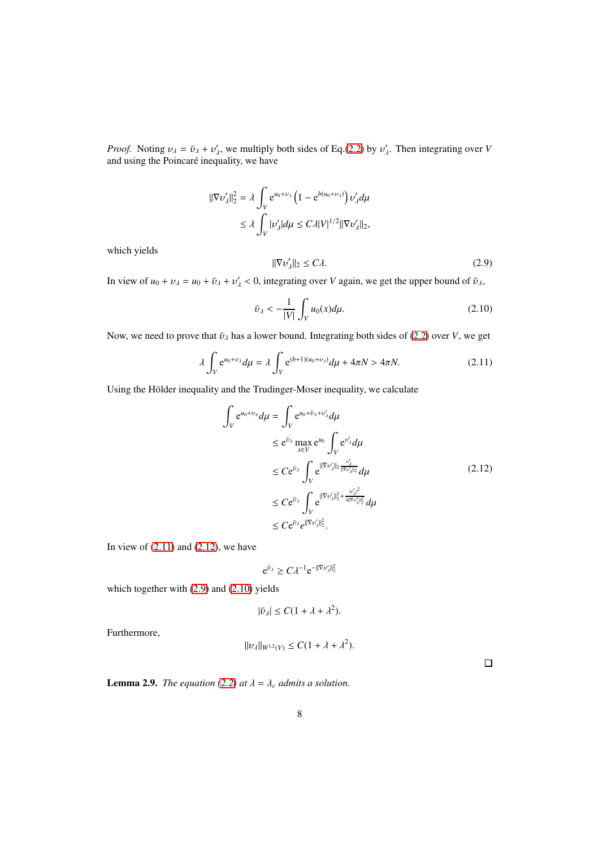*Proof.* Noting  $v_{\lambda} = \bar{v}_{\lambda} + v'_{\lambda}$ , we multiply both sides of Eq.[\(2.2\)](#page-2-1) by  $v'_{\lambda}$ . Then integrating over *V* and using the Poincaré inequality, we have

$$
\begin{aligned} \|\nabla \nu_{\lambda}'\|_{2}^{2} &= \lambda \int_{V} e^{u_{0} + v_{\lambda}} \left( 1 - e^{b(u_{0} + v_{\lambda})} \right) \nu_{\lambda}' d\mu \\ &\le \lambda \int_{V} |\nu_{\lambda}'| d\mu \le C\lambda |V|^{1/2} \|\nabla \nu_{\lambda}'\|_{2}, \end{aligned}
$$

which yields

<span id="page-7-2"></span>
$$
\|\nabla \nu_{\lambda}'\|_{2} \le C\lambda. \tag{2.9}
$$

In view of  $u_0 + v_\lambda = u_0 + \bar{v}_\lambda + v'_\lambda < 0$ , integrating over *V* again, we get the upper bound of  $\bar{v}_\lambda$ ,

<span id="page-7-3"></span>
$$
\bar{\upsilon}_{\lambda} < -\frac{1}{|V|} \int_{V} u_0(x) d\mu. \tag{2.10}
$$

Now, we need to prove that  $\bar{v}_{\lambda}$  has a lower bound. Integrating both sides of [\(2.2\)](#page-2-1) over *V*, we get

<span id="page-7-0"></span>
$$
\lambda \int_{V} e^{u_0 + v_\lambda} d\mu = \lambda \int_{V} e^{(b+1)(u_0 + v_\lambda)} d\mu + 4\pi N > 4\pi N. \tag{2.11}
$$

Using the Hölder inequality and the Trudinger-Moser inequality, we calculate

$$
\int_{V} e^{u_0 + v_{\lambda}} d\mu = \int_{V} e^{u_0 + \bar{v}_{\lambda} + v'_{\lambda}} d\mu
$$
\n
$$
\leq e^{\bar{v}_{\lambda}} \max_{x \in V} e^{u_0} \int_{V} e^{v'_{\lambda}} d\mu
$$
\n
$$
\leq C e^{\bar{v}_{\lambda}} \int_{V} e^{\|\nabla v'_{\lambda}\|_2} \frac{v'_{\lambda}}{\|\nabla v'_{\lambda}\|_2} d\mu
$$
\n
$$
\leq C e^{\bar{v}_{\lambda}} \int_{V} e^{\|\nabla v'_{\lambda}\|_2^2 + \frac{|v'_{\lambda}|^2}{\|\nabla v'_{\lambda}\|_2^2}} d\mu
$$
\n
$$
\leq C e^{\bar{v}_{\lambda}} e^{\|\nabla v'_{\lambda}\|_2^2}.
$$
\n(2.12)

<span id="page-7-1"></span>In view of  $(2.11)$  and  $(2.12)$ , we have

$$
e^{\bar{v}_{\lambda}} \geq C \lambda^{-1} e^{-\|\nabla v_{\lambda}'\|_2^2}
$$

which together with  $(2.9)$  and  $(2.10)$  yields

$$
|\bar{v}_{\lambda}| \leq C(1 + \lambda + \lambda^2).
$$

Furthermore,

$$
||v_{\lambda}||_{W^{1,2}(V)} \leq C(1 + \lambda + \lambda^2).
$$

 $\Box$ 

**Lemma 2.9.** *The equation [\(2.2\)](#page-2-1) at*  $\lambda = \lambda_c$  *admits a solution.*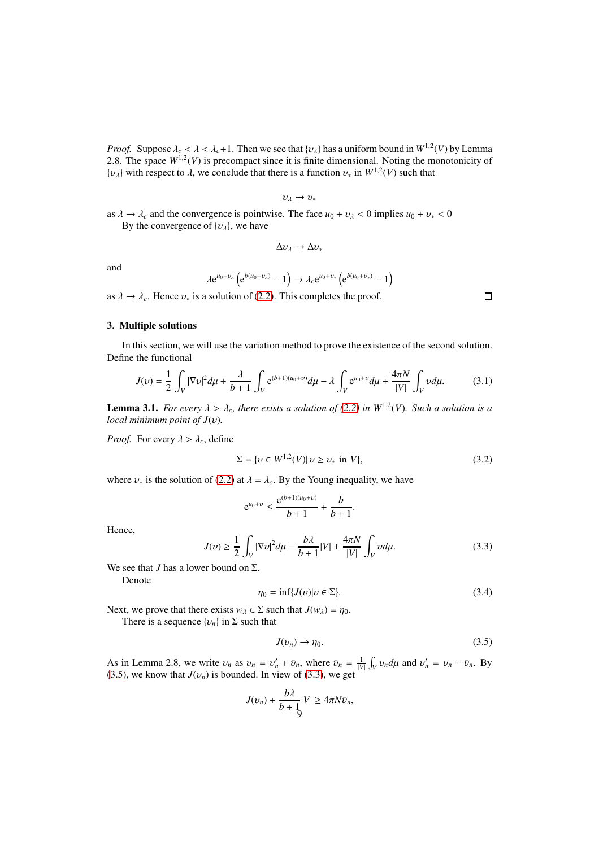*Proof.* Suppose  $\lambda_c < \lambda < \lambda_c + 1$ . Then we see that  $\{v_\lambda\}$  has a uniform bound in  $W^{1,2}(V)$  by Lemma 2.8. The space  $W^{1,2}(V)$  is precompact since it is finite dimensional. Noting the monotonicity of  $\{v_{\lambda}\}\$  with respect to  $\lambda$ , we conclude that there is a function  $v_*$  in  $W^{1,2}(V)$  such that

$$
v_\lambda \to v_*
$$

as  $\lambda \to \lambda_c$  and the convergence is pointwise. The face  $u_0 + v_\lambda < 0$  implies  $u_0 + v_* < 0$ By the convergence of  $\{v_{\lambda}\}\)$ , we have

$$
\Delta v_\lambda \to \Delta v_*
$$

and

$$
\lambda e^{u_0+v_\lambda} \left(e^{b(u_0+v_\lambda)}-1\right) \to \lambda_c e^{u_0+v_*} \left(e^{b(u_0+v_*)}-1\right)
$$

as  $\lambda \to \lambda_c$ . Hence  $\nu_*$  is a solution of [\(2.2\)](#page-2-1). This completes the proof.

# 3. Multiple solutions

In this section, we will use the variation method to prove the existence of the second solution. Define the functional

$$
J(\nu) = \frac{1}{2} \int_{V} |\nabla \nu|^2 d\mu + \frac{\lambda}{b+1} \int_{V} e^{(b+1)(u_0 + \nu)} d\mu - \lambda \int_{V} e^{u_0 + \nu} d\mu + \frac{4\pi N}{|V|} \int_{V} \nu d\mu.
$$
 (3.1)

**Lemma 3.1.** *For every*  $\lambda > \lambda_c$ , there exists a solution of [\(2.2\)](#page-2-1) in  $W^{1,2}(V)$ . Such a solution is a *local minimum point of J*(υ)*.*

*Proof.* For every  $\lambda > \lambda_c$ , define

$$
\Sigma = \{ \nu \in W^{1,2}(V) | \nu \ge \nu_* \text{ in } V \},\tag{3.2}
$$

where  $v_*$  is the solution of [\(2.2\)](#page-2-1) at  $\lambda = \lambda_c$ . By the Young inequality, we have

$$
e^{u_0+v} \le \frac{e^{(b+1)(u_0+v)}}{b+1} + \frac{b}{b+1}
$$

Hence,

<span id="page-8-1"></span>
$$
J(\nu) \ge \frac{1}{2} \int_{V} |\nabla \nu|^2 d\mu - \frac{b\lambda}{b+1} |V| + \frac{4\pi N}{|V|} \int_{V} \nu d\mu.
$$
 (3.3)

.

We see that *J* has a lower bound on  $\Sigma$ .

Denote

<span id="page-8-2"></span>
$$
\eta_0 = \inf \{ J(v) | v \in \Sigma \}. \tag{3.4}
$$

Next, we prove that there exists  $w_{\lambda} \in \Sigma$  such that  $J(w_{\lambda}) = \eta_0$ .

There is a sequence  $\{v_n\}$  in  $\Sigma$  such that

<span id="page-8-0"></span>
$$
J(v_n) \to \eta_0. \tag{3.5}
$$

As in Lemma 2.8, we write  $v_n$  as  $v_n = v'_n + \bar{v}_n$ , where  $\bar{v}_n = \frac{1}{|V|} \int_V v_n d\mu$  and  $v'_n = v_n - \bar{v}_n$ . By [\(3.5\)](#page-8-0), we know that  $J(v_n)$  is bounded. In view of [\(3.3\)](#page-8-1), we get

$$
J(v_n) + \frac{b\lambda}{b+1} |V| \ge 4\pi N \bar{v}_n,
$$

 $\Box$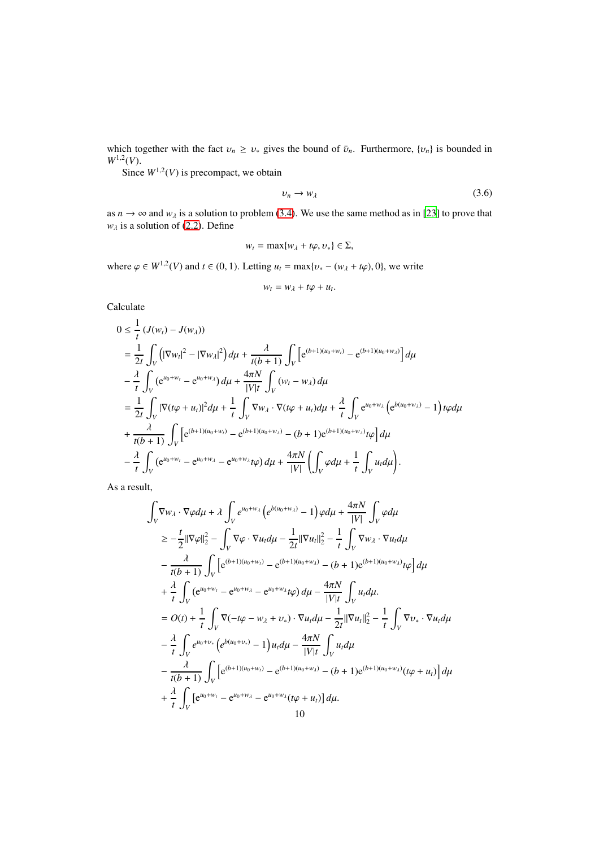which together with the fact  $v_n \ge v_*$  gives the bound of  $\bar{v}_n$ . Furthermore,  $\{v_n\}$  is bounded in  $W^{1,2}(V)$ .

Since  $W^{1,2}(V)$  is precompact, we obtain

<span id="page-9-0"></span>
$$
v_n \to w_\lambda \tag{3.6}
$$

as  $n \to \infty$  and  $w_\lambda$  is a solution to problem [\(3.4\)](#page-8-2). We use the same method as in [\[23\]](#page-14-18) to prove that  $w_{\lambda}$  is a solution of [\(2.2\)](#page-2-1). Define

$$
w_t = \max\{w_\lambda + t\varphi, v_*\} \in \Sigma,
$$

where  $\varphi \in W^{1,2}(V)$  and  $t \in (0, 1)$ . Letting  $u_t = \max\{v_* - (w_\lambda + t\varphi), 0\}$ , we write

$$
w_t = w_\lambda + t\varphi + u_t.
$$

Calculate

$$
0 \leq \frac{1}{t} \left( J(w_t) - J(w_\lambda) \right)
$$
  
\n
$$
= \frac{1}{2t} \int_V \left( |\nabla w_t|^2 - |\nabla w_\lambda|^2 \right) d\mu + \frac{\lambda}{t(b+1)} \int_V \left[ e^{(b+1)(u_0 + w_t)} - e^{(b+1)(u_0 + w_\lambda)} \right] d\mu
$$
  
\n
$$
- \frac{\lambda}{t} \int_V \left( e^{u_0 + w_t} - e^{u_0 + w_\lambda} \right) d\mu + \frac{4\pi N}{|V|t} \int_V (w_t - w_\lambda) d\mu
$$
  
\n
$$
= \frac{1}{2t} \int_V |\nabla (t\varphi + u_t)|^2 d\mu + \frac{1}{t} \int_V \nabla w_\lambda \cdot \nabla (t\varphi + u_t) d\mu + \frac{\lambda}{t} \int_V e^{u_0 + w_\lambda} \left( e^{b(u_0 + w_\lambda)} - 1 \right) t\varphi d\mu
$$
  
\n
$$
+ \frac{\lambda}{t(b+1)} \int_V \left[ e^{(b+1)(u_0 + w_t)} - e^{(b+1)(u_0 + w_\lambda)} - (b+1) e^{(b+1)(u_0 + w_\lambda)} t\varphi \right] d\mu
$$
  
\n
$$
- \frac{\lambda}{t} \int_V (e^{u_0 + w_t} - e^{u_0 + w_\lambda} - e^{u_0 + w_\lambda} t\varphi) d\mu + \frac{4\pi N}{|V|} \left( \int_V \varphi d\mu + \frac{1}{t} \int_V u_t d\mu \right).
$$

As a result,

$$
\int_{V} \nabla w_{\lambda} \cdot \nabla \varphi d\mu + \lambda \int_{V} e^{u_{0}+w_{\lambda}} \left( e^{b(u_{0}+w_{\lambda})} - 1 \right) \varphi d\mu + \frac{4\pi N}{|V|} \int_{V} \varphi d\mu
$$
\n
$$
\geq -\frac{t}{2} ||\nabla \varphi||_{2}^{2} - \int_{V} \nabla \varphi \cdot \nabla u_{t} d\mu - \frac{1}{2t} ||\nabla u_{t}||_{2}^{2} - \frac{1}{t} \int_{V} \nabla w_{\lambda} \cdot \nabla u_{t} d\mu
$$
\n
$$
- \frac{\lambda}{t(b+1)} \int_{V} \left[ e^{(b+1)(u_{0}+w_{t})} - e^{(b+1)(u_{0}+w_{\lambda})} - (b+1)e^{(b+1)(u_{0}+w_{\lambda})} t\varphi \right] d\mu
$$
\n
$$
+ \frac{\lambda}{t} \int_{V} (e^{u_{0}+w_{t}} - e^{u_{0}+w_{\lambda}} - e^{u_{0}+w_{\lambda}} t\varphi) d\mu - \frac{4\pi N}{|V|t} \int_{V} u_{t} d\mu.
$$
\n
$$
= O(t) + \frac{1}{t} \int_{V} \nabla (-t\varphi - w_{\lambda} + v_{\ast}) \cdot \nabla u_{t} d\mu - \frac{1}{2t} ||\nabla u_{t}||_{2}^{2} - \frac{1}{t} \int_{V} \nabla v_{\ast} \cdot \nabla u_{t} d\mu
$$
\n
$$
- \frac{\lambda}{t} \int_{V} e^{u_{0}+v_{\ast}} \left( e^{b(u_{0}+v_{\ast})} - 1 \right) u_{t} d\mu - \frac{4\pi N}{|V|t} \int_{V} u_{t} d\mu
$$
\n
$$
- \frac{\lambda}{t(b+1)} \int_{V} \left[ e^{(b+1)(u_{0}+w_{t})} - e^{(b+1)(u_{0}+w_{\lambda})} - (b+1)e^{(b+1)(u_{0}+w_{\lambda})} (t\varphi + u_{t}) \right] d\mu
$$
\n
$$
+ \frac{\lambda}{t} \int_{V} \left[ e^{u_{0
$$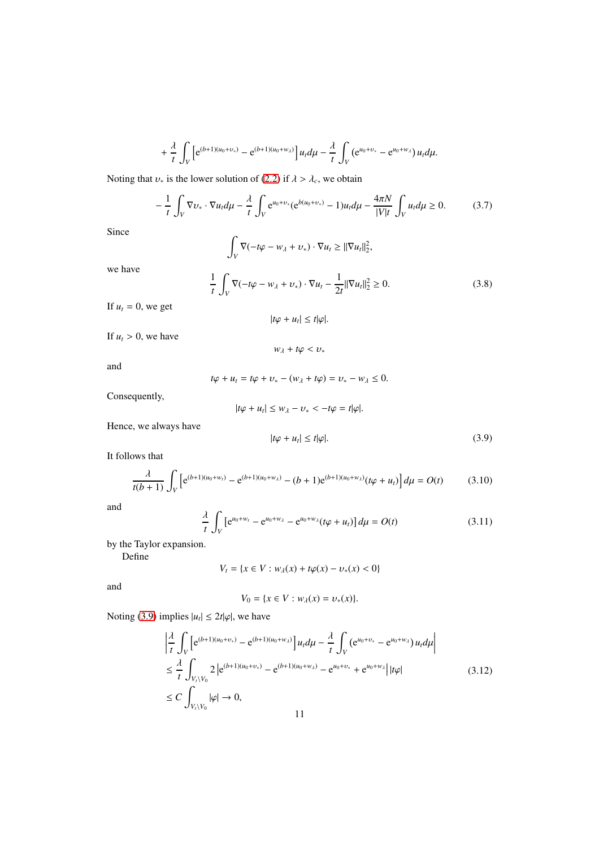$$
+\frac{\lambda}{t}\int_{V}\left[e^{(b+1)(u_{0}+v_{*})}-e^{(b+1)(u_{0}+w_{\lambda})}\right]u_{t}d\mu-\frac{\lambda}{t}\int_{V}\left(e^{u_{0}+v_{*}}-e^{u_{0}+w_{\lambda}}\right)u_{t}d\mu.
$$

Noting that  $v_*$  is the lower solution of [\(2.2\)](#page-2-1) if  $\lambda > \lambda_c$ , we obtain

$$
-\frac{1}{t}\int_{V}\nabla v_{*}\cdot\nabla u_{t}d\mu - \frac{\lambda}{t}\int_{V}e^{u_{0}+v_{*}}(e^{b(u_{0}+v_{*})}-1)u_{t}d\mu - \frac{4\pi N}{|V|t}\int_{V}u_{t}d\mu \geq 0. \tag{3.7}
$$

Since

$$
\int_V \nabla(-t\varphi - w_\lambda + v_*) \cdot \nabla u_t \geq ||\nabla u_t||_2^2,
$$

we have

$$
\frac{1}{t} \int_{V} \nabla(-t\varphi - w_{\lambda} + v_{*}) \cdot \nabla u_{t} - \frac{1}{2t} ||\nabla u_{t}||_{2}^{2} \ge 0.
$$
 (3.8)

If  $u_t = 0$ , we get

$$
|t\varphi + u_t| \leq t|\varphi|.
$$

If  $u_t > 0$ , we have

 $w_{\lambda} + t\varphi < v_*$ 

and

 $t\varphi + u_t = t\varphi + v_* - (w_\lambda + t\varphi) = v_* - w_\lambda \leq 0.$ 

Consequently,

$$
|t\varphi + u_t| \leq w_\lambda - v_* < -t\varphi = t|\varphi|.
$$

Hence, we always have

<span id="page-10-0"></span>
$$
|t\varphi + u_t| \le t|\varphi|. \tag{3.9}
$$

It follows that

$$
\frac{\lambda}{t(b+1)} \int_{V} \left[ e^{(b+1)(u_0 + w_t)} - e^{(b+1)(u_0 + w_\lambda)} - (b+1)e^{(b+1)(u_0 + w_\lambda)}(t\varphi + u_t) \right] d\mu = O(t)
$$
(3.10)

and

$$
\frac{\lambda}{t} \int_{V} \left[ e^{u_0 + w_t} - e^{u_0 + w_\lambda} - e^{u_0 + w_\lambda} (t\varphi + u_t) \right] d\mu = O(t)
$$
\n(3.11)

by the Taylor expansion.

Define

$$
V_t = \{ x \in V : w_\lambda(x) + t\varphi(x) - v_*(x) < 0 \}
$$

and

$$
V_0 = \{x \in V : w_\lambda(x) = v_*(x)\}.
$$

Noting [\(3.9\)](#page-10-0) implies  $|u_t| \leq 2t |\varphi|$ , we have

$$
\begin{split}\n&\left|\frac{\lambda}{t}\int_{V}\left[e^{(b+1)(u_{0}+v_{*})}-e^{(b+1)(u_{0}+w_{\lambda})}\right]u_{t}d\mu-\frac{\lambda}{t}\int_{V}\left(e^{u_{0}+v_{*}}-e^{u_{0}+w_{\lambda}}\right)u_{t}d\mu\right| \\
&\leq \frac{\lambda}{t}\int_{V_{t}\setminus V_{0}} 2\left|e^{(b+1)(u_{0}+v_{*})}-e^{(b+1)(u_{0}+w_{\lambda})}-e^{u_{0}+v_{*}}+e^{u_{0}+w_{\lambda}}\right||t\varphi| \\
&\leq C\int_{V_{t}\setminus V_{0}}|\varphi|\to 0, \\
&11\n\end{split} \tag{3.12}
$$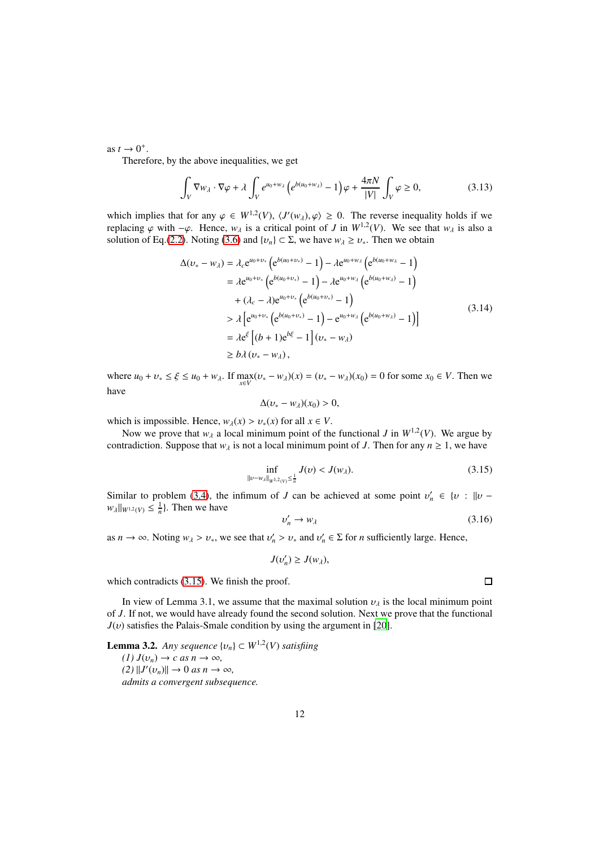as  $t \to 0^+$ .

Therefore, by the above inequalities, we get

$$
\int_{V} \nabla w_{\lambda} \cdot \nabla \varphi + \lambda \int_{V} e^{u_0 + w_{\lambda}} \left( e^{b(u_0 + w_{\lambda})} - 1 \right) \varphi + \frac{4\pi N}{|V|} \int_{V} \varphi \ge 0, \tag{3.13}
$$

which implies that for any  $\varphi \in W^{1,2}(V)$ ,  $\langle J'(w_\lambda), \varphi \rangle \geq 0$ . The reverse inequality holds if we replacing  $\varphi$  with  $-\varphi$ . Hence,  $w_{\lambda}$  is a critical point of *J* in  $W^{1,2}(V)$ . We see that  $w_{\lambda}$  is also a solution of Eq.[\(2.2\)](#page-2-1). Noting [\(3.6\)](#page-9-0) and  $\{v_n\} \subset \Sigma$ , we have  $w_{\lambda} \ge v_*$ . Then we obtain

$$
\Delta(\nu_{*} - w_{\lambda}) = \lambda_{c} e^{u_{0} + \nu_{*}} \left( e^{b(u_{0} + \nu_{*})} - 1 \right) - \lambda e^{u_{0} + w_{\lambda}} \left( e^{b(u_{0} + w_{\lambda}} - 1 \right)
$$
  
\n
$$
= \lambda e^{u_{0} + \nu_{*}} \left( e^{b(u_{0} + \nu_{*})} - 1 \right) - \lambda e^{u_{0} + w_{\lambda}} \left( e^{b(u_{0} + \nu_{\lambda})} - 1 \right)
$$
  
\n
$$
+ (\lambda_{c} - \lambda) e^{u_{0} + \nu_{*}} \left( e^{b(u_{0} + \nu_{*})} - 1 \right)
$$
  
\n
$$
> \lambda \left[ e^{u_{0} + \nu_{*}} \left( e^{b(u_{0} + \nu_{*})} - 1 \right) - e^{u_{0} + \nu_{\lambda}} \left( e^{b(u_{0} + \nu_{\lambda})} - 1 \right) \right]
$$
  
\n
$$
= \lambda e^{\xi} \left[ (b + 1) e^{b\xi} - 1 \right] (\nu_{*} - w_{\lambda})
$$
  
\n
$$
\ge b \lambda (\nu_{*} - w_{\lambda}), \qquad (3.14)
$$

where  $u_0 + v_* \le \xi \le u_0 + w_\lambda$ . If  $\max_{x \in V} (v_* - w_\lambda)(x) = (v_* - w_\lambda)(x_0) = 0$  for some  $x_0 \in V$ . Then we have

$$
\Delta(v_*-w_\lambda)(x_0)>0,
$$

which is impossible. Hence,  $w_\lambda(x) > v_*(x)$  for all  $x \in V$ .

Now we prove that  $w_{\lambda}$  a local minimum point of the functional *J* in  $W^{1,2}(V)$ . We argue by contradiction. Suppose that  $w_{\lambda}$  is not a local minimum point of *J*. Then for any  $n \ge 1$ , we have

<span id="page-11-0"></span>
$$
\inf_{\|v-w_{\lambda}\|_{W^{1,2}(V)} \le \frac{1}{n}} J(v) < J(w_{\lambda}).\tag{3.15}
$$

Similar to problem [\(3.4\)](#page-8-2), the infimum of *J* can be achieved at some point  $v'_n \in \{v : ||v$  $w_{\lambda}||_{W^{1,2}(V)} \leq \frac{1}{n}$ . Then we have

$$
v_n' \to w_\lambda \tag{3.16}
$$

as  $n \to \infty$ . Noting  $w_{\lambda} > v_*$ , we see that  $v'_n > v_*$  and  $v'_n \in \Sigma$  for *n* sufficiently large. Hence,

$$
J(v_n')\geq J(w_\lambda),
$$

which contradicts  $(3.15)$ . We finish the proof.

In view of Lemma 3.1, we assume that the maximal solution  $v_{\lambda}$  is the local minimum point of *J*. If not, we would have already found the second solution. Next we prove that the functional  $J(v)$  satisfies the Palais-Smale condition by using the argument in [\[20\]](#page-14-6).

**Lemma 3.2.** Any sequence  $\{v_n\} \subset W^{1,2}(V)$  satisfiing  $(I) J(v_n) \to c \text{ as } n \to \infty$ ,  $(2)$   $||J'(v_n)|| \rightarrow 0$  *as*  $n \rightarrow \infty$ *, admits a convergent subsequence.*

 $\Box$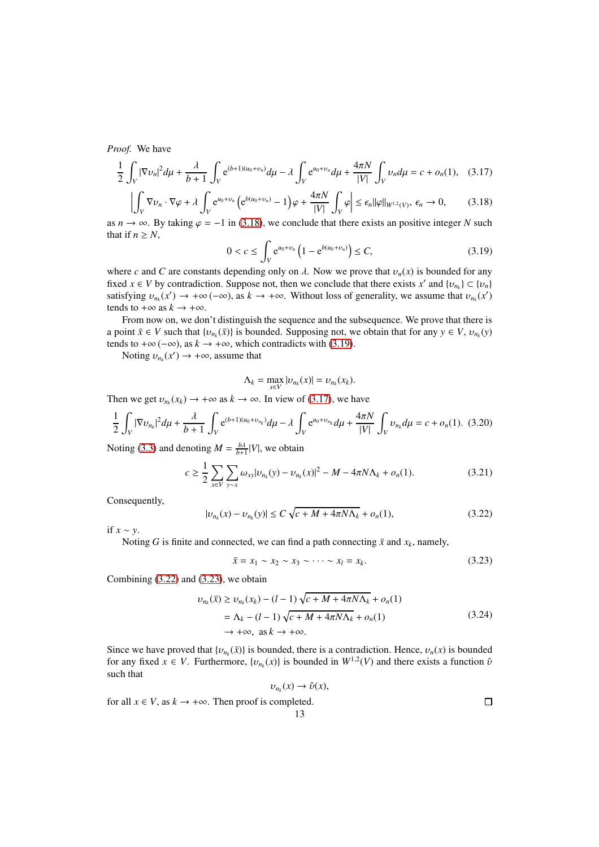*Proof.* We have

<span id="page-12-2"></span>
$$
\frac{1}{2}\int_{V}|\nabla v_{n}|^{2}d\mu + \frac{\lambda}{b+1}\int_{V}e^{(b+1)(u_{0}+v_{n})}d\mu - \lambda \int_{V}e^{u_{0}+v_{n}}d\mu + \frac{4\pi N}{|V|}\int_{V}v_{n}d\mu = c + o_{n}(1), \quad (3.17)
$$

<span id="page-12-0"></span>
$$
\left| \int_{V} \nabla v_n \cdot \nabla \varphi + \lambda \int_{V} e^{u_0 + v_n} \left( e^{b(u_0 + v_n)} - 1 \right) \varphi + \frac{4\pi N}{|V|} \int_{V} \varphi \right| \le \epsilon_n ||\varphi||_{W^{1,2}(V)}, \ \epsilon_n \to 0, \tag{3.18}
$$

as  $n \to \infty$ . By taking  $\varphi = -1$  in [\(3.18\)](#page-12-0), we conclude that there exists an positive integer *N* such that if  $n \geq N$ ,

<span id="page-12-1"></span>
$$
0 < c \le \int_{V} e^{u_0 + v_n} \left( 1 - e^{b(u_0 + v_n)} \right) \le C,\tag{3.19}
$$

where *c* and *C* are constants depending only on  $\lambda$ . Now we prove that  $v_n(x)$  is bounded for any fixed  $x \in V$  by contradiction. Suppose not, then we conclude that there exists  $x'$  and  $\{v_{n_k}\} \subset \{v_n\}$ satisfying  $v_{n_k}(x') \to +\infty$  ( $-\infty$ ), as  $k \to +\infty$ . Without loss of generality, we assume that  $v_{n_k}(x')$ tends to  $+\infty$  as  $k \to +\infty$ .

From now on, we don't distinguish the sequence and the subsequence. We prove that there is a point  $\bar{x} \in V$  such that  $\{v_{n_k}(\bar{x})\}$  is bounded. Supposing not, we obtain that for any  $y \in V$ ,  $v_{n_k}(y)$ tends to +∞ (-∞), as  $k \to +\infty$ , which contradicts with [\(3.19\)](#page-12-1).

Noting  $v_{n_k}(x') \to +\infty$ , assume that

$$
\Lambda_k = \max_{x \in V} |v_{n_k}(x)| = v_{n_k}(x_k).
$$

Then we get  $v_{n_k}(x_k) \to +\infty$  as  $k \to \infty$ . In view of [\(3.17\)](#page-12-2), we have

$$
\frac{1}{2}\int_{V}|\nabla v_{n_{k}}|^{2}d\mu + \frac{\lambda}{b+1}\int_{V}e^{(b+1)(u_{0}+v_{n_{k}})}d\mu - \lambda \int_{V}e^{u_{0}+v_{n_{k}}}d\mu + \frac{4\pi N}{|V|}\int_{V}v_{n_{k}}d\mu = c + o_{n}(1). \tag{3.20}
$$

Noting [\(3.3\)](#page-8-1) and denoting  $M = \frac{b\lambda}{b+1} |V|$ , we obtain

$$
c \ge \frac{1}{2} \sum_{x \in V} \sum_{y \sim x} \omega_{xy} |v_{n_k}(y) - v_{n_k}(x)|^2 - M - 4\pi N \Lambda_k + o_n(1).
$$
 (3.21)

Consequently,

<span id="page-12-3"></span>
$$
|v_{n_k}(x) - v_{n_k}(y)| \le C\sqrt{c + M + 4\pi N\Lambda_k} + o_n(1),
$$
\n(3.22)

if *x* ∼ *y*.

Noting *G* is finite and connected, we can find a path connecting  $\bar{x}$  and  $x_k$ , namely,

<span id="page-12-4"></span>
$$
\bar{x} = x_1 \sim x_2 \sim x_3 \sim \cdots \sim x_l = x_k. \tag{3.23}
$$

Combining [\(3.22\)](#page-12-3) and [\(3.23\)](#page-12-4), we obtain

$$
\nu_{n_k}(\bar{x}) \ge \nu_{n_k}(x_k) - (l-1)\sqrt{c + M + 4\pi N\Lambda_k} + o_n(1)
$$
  
=  $\Lambda_k - (l-1)\sqrt{c + M + 4\pi N\Lambda_k} + o_n(1)$   
 $\rightarrow +\infty, \text{ as } k \rightarrow +\infty.$  (3.24)

Since we have proved that  $\{v_{n_k}(\bar{x})\}$  is bounded, there is a contradiction. Hence,  $v_n(x)$  is bounded for any fixed  $x \in V$ . Furthermore,  $\{v_{n_k}(x)\}$  is bounded in  $W^{1,2}(V)$  and there exists a function  $\hat{v}$ such that

$$
u_k(x) \to \hat{\nu}(x),
$$

for all  $x \in V$ , as  $k \to +\infty$ . Then proof is completed.

 $\Box$ 

υ*nk*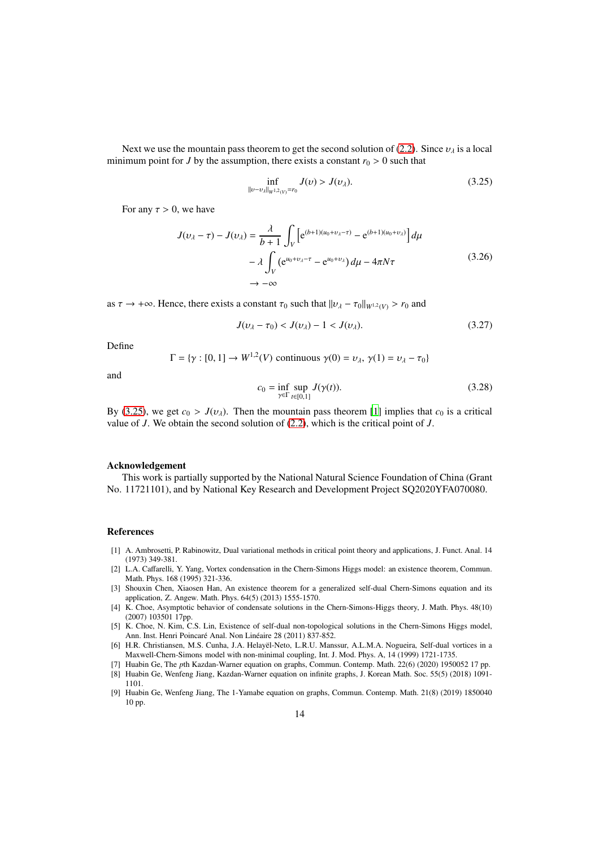Next we use the mountain pass theorem to get the second solution of [\(2.2\)](#page-2-1). Since  $v_{\lambda}$  is a local minimum point for *J* by the assumption, there exists a constant  $r_0 > 0$  such that

<span id="page-13-8"></span>
$$
\inf_{\|v - v_{\lambda}\|_{W^{1,2}(V)} = r_0} J(v) > J(v_{\lambda}).
$$
\n(3.25)

For any  $\tau > 0$ , we have

$$
J(\nu_{\lambda} - \tau) - J(\nu_{\lambda}) = \frac{\lambda}{b+1} \int_{V} \left[ e^{(b+1)(u_0 + \nu_{\lambda} - \tau)} - e^{(b+1)(u_0 + \nu_{\lambda})} \right] d\mu
$$

$$
- \lambda \int_{V} \left( e^{u_0 + \nu_{\lambda} - \tau} - e^{u_0 + \nu_{\lambda}} \right) d\mu - 4\pi N \tau
$$

$$
\to -\infty
$$
(3.26)

as  $\tau \to +\infty$ . Hence, there exists a constant  $\tau_0$  such that  $||\nu_\lambda - \tau_0||_{W^{1,2}(V)} > r_0$  and

$$
J(v_{\lambda} - \tau_0) < J(v_{\lambda}) - 1 < J(v_{\lambda}).\tag{3.27}
$$

Define

$$
\Gamma = \{ \gamma : [0, 1] \to W^{1,2}(V) \text{ continuous } \gamma(0) = v_{\lambda}, \gamma(1) = v_{\lambda} - \tau_0 \}
$$

and

$$
c_0 = \inf_{\gamma \in \Gamma} \sup_{t \in [0,1]} J(\gamma(t)).
$$
\n(3.28)

By [\(3.25\)](#page-13-8), we get  $c_0 > J(v_\lambda)$ . Then the mountain pass theorem [\[1\]](#page-13-9) implies that  $c_0$  is a critical value of *J*. We obtain the second solution of [\(2.2\)](#page-2-1), which is the critical point of *J*.

#### Acknowledgement

This work is partially supported by the National Natural Science Foundation of China (Grant No. 11721101), and by National Key Research and Development Project SQ2020YFA070080.

### References

- <span id="page-13-9"></span>[1] A. Ambrosetti, P. Rabinowitz, Dual variational methods in critical point theory and applications, J. Funct. Anal. 14 (1973) 349-381.
- <span id="page-13-0"></span>[2] L.A. Caffarelli, Y. Yang, Vortex condensation in the Chern-Simons Higgs model: an existence theorem, Commun. Math. Phys. 168 (1995) 321-336.
- <span id="page-13-3"></span>[3] Shouxin Chen, Xiaosen Han, An existence theorem for a generalized self-dual Chern-Simons equation and its application, Z. Angew. Math. Phys. 64(5) (2013) 1555-1570.
- <span id="page-13-1"></span>[4] K. Choe, Asymptotic behavior of condensate solutions in the Chern-Simons-Higgs theory, J. Math. Phys. 48(10) (2007) 103501 17pp.
- <span id="page-13-2"></span>[5] K. Choe, N. Kim, C.S. Lin, Existence of self-dual non-topological solutions in the Chern-Simons Higgs model, Ann. Inst. Henri Poincaré Anal. Non Linéaire 28 (2011) 837-852.
- <span id="page-13-4"></span>[6] H.R. Christiansen, M.S. Cunha, J.A. Helayël-Neto, L.R.U. Manssur, A.L.M.A. Nogueira, Self-dual vortices in a Maxwell-Chern-Simons model with non-minimal coupling, Int. J. Mod. Phys. A, 14 (1999) 1721-1735.
- <span id="page-13-7"></span>[7] Huabin Ge, The *p*th Kazdan-Warner equation on graphs, Commun. Contemp. Math. 22(6) (2020) 1950052 17 pp. [8] Huabin Ge, Wenfeng Jiang, Kazdan-Warner equation on infinite graphs, J. Korean Math. Soc. 55(5) (2018) 1091-
- <span id="page-13-6"></span>1101.
- <span id="page-13-5"></span>[9] Huabin Ge, Wenfeng Jiang, The 1-Yamabe equation on graphs, Commun. Contemp. Math. 21(8) (2019) 1850040 10 pp.